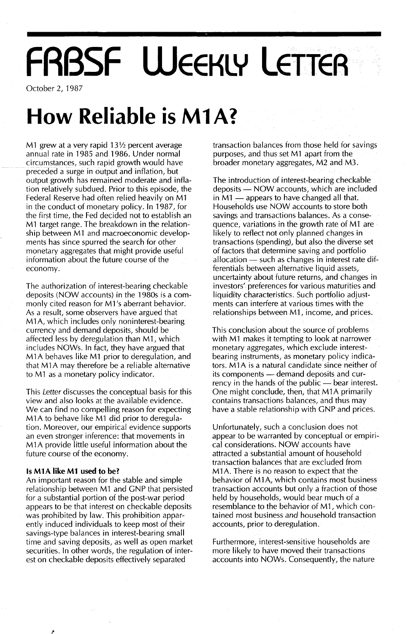# **FRBSF WEEKLY LEtIEA**

October 2, 1987

## **How Reliable is M1A?**

M1 grew at a very rapid  $13\frac{1}{2}$  percent average annual rate in 1985 and 1986. Under normal circumstances, such rapid growth would have preceded a surge in output and inflation, but output growth has remained moderate and inflation relatively subdued. Prior to this episode, the Federal Reserve had often relied heavily on M1 in the conduct of monetary policy. In 1987, for the first time, the Fed decided not to establish an M1 target range. The breakdown in the relationship between M1 and macroeconomic developments has since spurred the search for other monetary aggregates that might provide useful information about the future course of the economy.

The authorization of interest-bearing checkable deposits (NOW accounts) in the 1980s is a commonly cited reason for M1 's aberrant behavior. As a result, some observers have argued that M1A, which includes only noninterest-bearing currency and demand deposits, should be affected less by deregulation than M1, which includes NOWs. In fact, they have argued that M1A behaves like M1 prior to deregulation, and that M<sub>1</sub>A may therefore be a reliable alternative to M1 as a monetary policy indicator.

This Letter discusses the conceptual basis for this view and also looks at the available evidence. We can find no compelling reason for expecting M<sub>1</sub>A to behave like M<sub>1</sub> did prior to deregulation. Moreover, our empirical evidence supports an even stronger inference: that movements in M<sub>1</sub>A provide little useful information about the future course of the economy.

#### **Is M1A like Ml used to be?**

An important reason for the stable and simple relationship between M1 and GNP that persisted for a substantial portion of the post-war period appears to be that interest on checkable deposits was prohibited by law. This prohibition apparently induced individuals to keep most of their savings-type balances in interest-bearing small time and saving deposits, as well as open market securities. In other words, the regulation of interest on checkable deposits effectively separated

transaction balances from those held for savings purposes, and thus set M1 apart from the broader monetary aggregates, M2 and M3.

The introduction of interest-bearing checkable deposits - NOW accounts, which are included in  $M1$  — appears to have changed all that. Households use NOW accounts to store both savings and transactions balances. As a consequence, variations in the growth rate of M1 are likely to reflect not only planned changes in transactions (spending), but also the diverse set of factors that determine saving and portfolio allocation  $-$  such as changes in interest rate differentials between alternative liquid assets, uncertainty about future returns, and changes in investors' preferences for various maturities and liquidity characteristics. Such portfolio adjustments can interfere at various times with the relationships between M1, income, and prices.

This conclusion about the source of problems with M1 makes it tempting to look at narrower monetary aggregates, which exclude interestbearing instruments, as monetary policy indicators. M1A is a natural candidate since neither of its components - demand deposits and currency in the hands of the public  $-$  bear interest. One might conclude, then, that M1A primarily contains transactions balances, and thus may have a stable relationship with GNP and prices.

Unfortunately, such a conclusion does not appear to be warranted by conceptual Or empirical considerations. NOW accounts have attracted a substantial amount of household transaction balances that are excluded from M<sub>1</sub>A. There is no reason to expect that the behavior of M1A, which contains most business transaction accounts but only a fraction of those held by households, would bear much of a resemblance to the behavior of M1, which contained most business *and* household transaction accounts, prior to deregulation.

Furthermore, interest-sensitive households are more likely to have moved their transactions accounts into NOWs. Consequently, the nature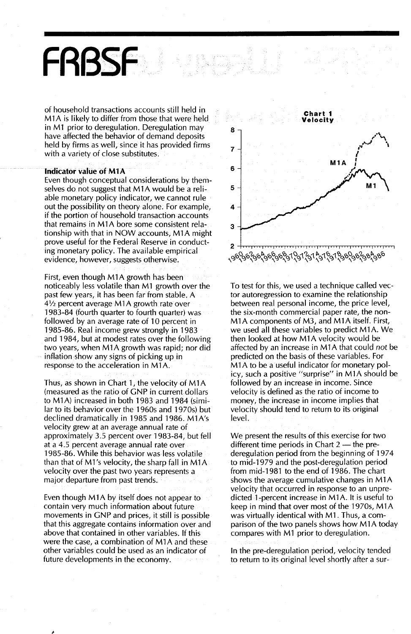#### of household transactions accounts still held in M 1A is likely to differ from those that were held in M1 prior to deregulation. Deregulation may have affected the behavior of demand deposits held by firms as well, since it has provided firms with a variety of close substitutes.

#### Indicator value of M1A

**FABSf**

Even though conceptual considerations by themselves do not suggest that M1A would be a reliable monetary policy indicator, we cannot rule out the possibility on theory alone; For example, if the portion of household transaction accounts that remains in M1A bore some consistent relationship with that in NOW accounts, M1A might prove useful for the Federal Reserve in conducting monetary policy. The available empirical evidence, however, suggests otherwise.

First, even though M1A growth has been noticeably less volatile than M1 growth over the past few years, it has been far from stable. A 4*V2* percent average M 1A growth rate over 1983-84 (fourth quarter to fourth quarter) was followed by an average rate of 10 percent in 1985~86. Real income grew strongly in 1983 and 1984, but at modest rates over the following two years, when M1A growth was rapid; nor did inflation show any signs of picking up in response to the acceleration in M1A.

Thus, as shown in Chart 1, the velocity of M1A (measured as the ratio of GNP in current dollars to M1A) increased in both 1983 and 1984 (similar to its behavior over the 1960s and 1970s) but declined dramatically in 1985 and 1986. M1A's velocity grew at an average annual rate of approximately 3.5 percent over 1983-84, but fell at a 4.5 percent average annual rate over 1985-86.While this behavior was less volatile than that of M1's velocity, the sharp fall in M1A velocity over the past two years represents a major departure from past trends.

Even though M1A by itself does not appear to contain very much information about future movements in GNP and prices, it still is possible that this aggregate contains information over and above that contained in other variables. If this were the case, a combination of M1A and these other variables could be used as an indicator of future developments in the economy.



To test for this, we used a technique called vector.autoregression to examine the relationship between real personal income, the price level, the six-month commercial paper rate, the non-M1A components of M3, and M1A itself. First, we used all these variables to predict M1A. We then looked at how M1A velocity would be affected by an increase in M1 A that could *not* be predicted on the basis of these variables. For M1A to be a useful indicator for monetary policy, such a positive "surprise" in M1A should be followed by an increase in income. Since velocity is defined as the ratio of income to money, the increase in income implies that velocity should tend to return to its original level.

We present the results of this exercise for two different time periods in Chart  $2$  - the prederegulation period from the beginning of 1974 to mid-1979 and the post-deregulation period from mid-1981 to the end of 1986. The chart shows the average cumulative changes in M1A velocity that occurred in response to an unpredicted 1-percent increase in M1A. It is useful to keep in mind that over most of the 1970s, M1A was virtually identical with M1. Thus, a comparison of the two panels shows how M1A today cornpares with M1 prior to deregulation.

In the pre-deregulation period, velocity tended to return to its original level shortly after a sur-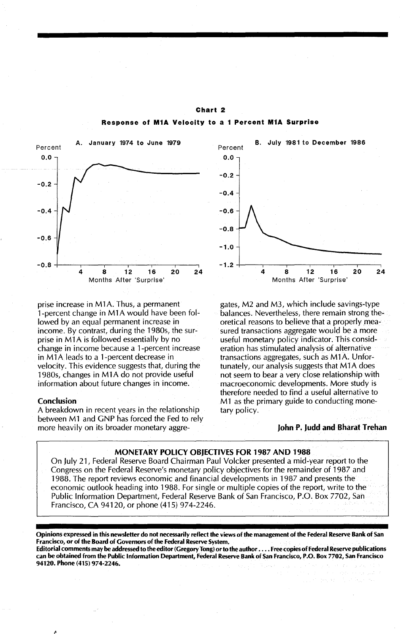

Chart 2 Response of **M1A** Velocity to a 1 Percent **M1A** Surprise

prise increase in M1A. Thus, a permanent 1-percent change in M 1A would have been followed by an equal permanent increase in income. By contrast, during the 1980s, the surprise in M1A is followed essentially by no change in income because a 1-percent increase in M<sub>1</sub>A leads to a 1-percent decrease in velocity. This evidence suggests that, during the 1980s, changes in M 1A do not provide useful information about future changes in income.

#### Conclusion

A breakdown in recent years in the relationship between M1 and GNP has forced the Fed to rely more heavily on its broader monetary aggre-



gates, M2 and M3, which include savings-type balances. Nevertheless, there remain strong theoretical reasons to believe that a properly measured transactions aggregate would be a more useful monetary policy indicator. Thisconsideration has stimulated analysis of alternative transactions aggregates, such as M1A. Unfortunately, our analysis suggests that M<sub>1</sub>A does not seem to bear a very close relationship with macroeconomic developments. More study is therefore needed to find a useful alternative to M1 as the primary guide to conducting monetary policy.

#### John P. Judd and Bharat Trehan

#### MONETARY POLICY OBJECTIVES FOR 1987 AND 1988

On July 21, Federal Reserve Board Chairman Paul Volcker presented a mid-year report tothe Congress on the Federal Reserve's monetary policy objectives for the remainder of 1987 and 1988. The report reviews economic and financial developments in 1987 and presents the economic outlook heading into 1988. For single or multiple copies of the report, write to the Public Information Department, Federal Reserve Bank of San Francisco, P.O. Box 7702, San Francisco, CA 94120, or phone (415) 974-2246.

Opinions expressed in this newsletter do not necessarily reflect the views of the management of the Federal Reserve Bank of San Francisco, or of the Board of Governors of the Federal Reserve System. Editorial comments may be addressed to the editor (Gregory Tong) or to the author . . . . Free copies of Federal Reserve publications can be obtained from the Public Information Department, Federal Reserve Bank of San Francisco, P.O. Box 7702, San Francisco 94120. Phone (415) 974-2246.